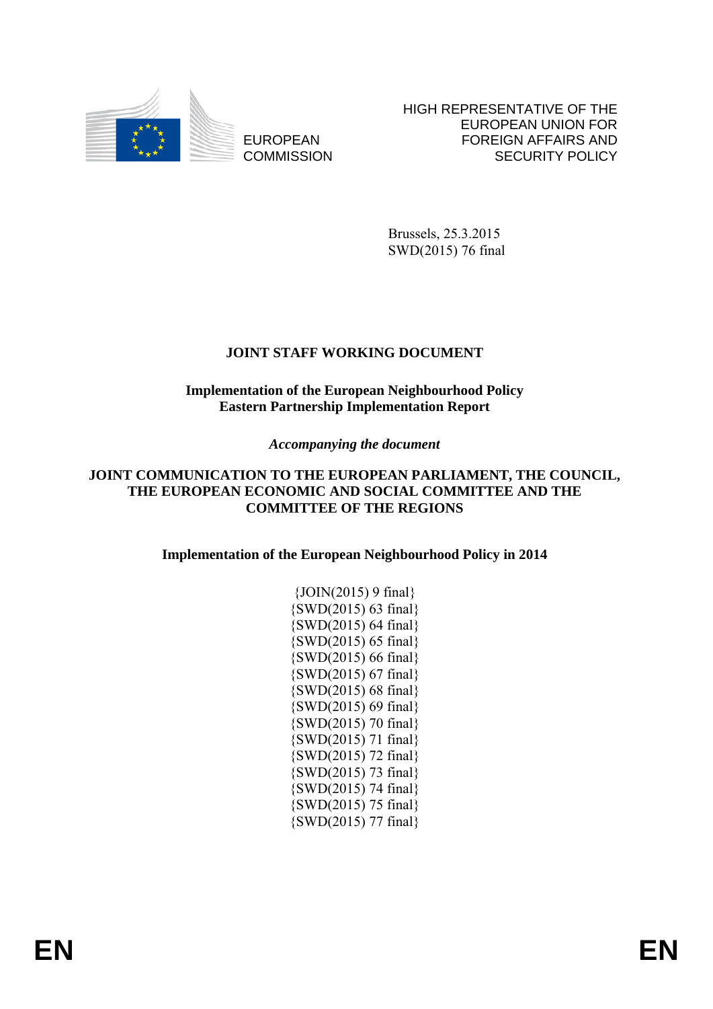

EUROPEAN **COMMISSION**  HIGH REPRESENTATIVE OF THE EUROPEAN UNION FOR FOREIGN AFFAIRS AND SECURITY POLICY

Brussels, 25.3.2015 SWD(2015) 76 final

## **JOINT STAFF WORKING DOCUMENT**

## **Implementation of the European Neighbourhood Policy Eastern Partnership Implementation Report**

## *Accompanying the document*

## **JOINT COMMUNICATION TO THE EUROPEAN PARLIAMENT, THE COUNCIL, THE EUROPEAN ECONOMIC AND SOCIAL COMMITTEE AND THE COMMITTEE OF THE REGIONS**

**Implementation of the European Neighbourhood Policy in 2014** 

| $\{JOIN(2015) 9 final\}$    |
|-----------------------------|
| $\{SWD(2015) 63 final\}$    |
| {SWD(2015) 64 final}        |
| {SWD(2015) 65 final}        |
| {SWD(2015) 66 final}        |
| $\{SWD(2015) 67 final\}$    |
| $\{SWD(2015) 68 final\}$    |
| {SWD(2015) 69 final}        |
| {SWD(2015) 70 final}        |
| {SWD(2015) 71 final}        |
| $\{SWD(2015)$ 72 final $\}$ |
| $\{SWD(2015)$ 73 final $\}$ |
| {SWD(2015) 74 final}        |
| $\{SWD(2015)$ 75 final $\}$ |
| $\{SWD(2015)$ 77 final $\}$ |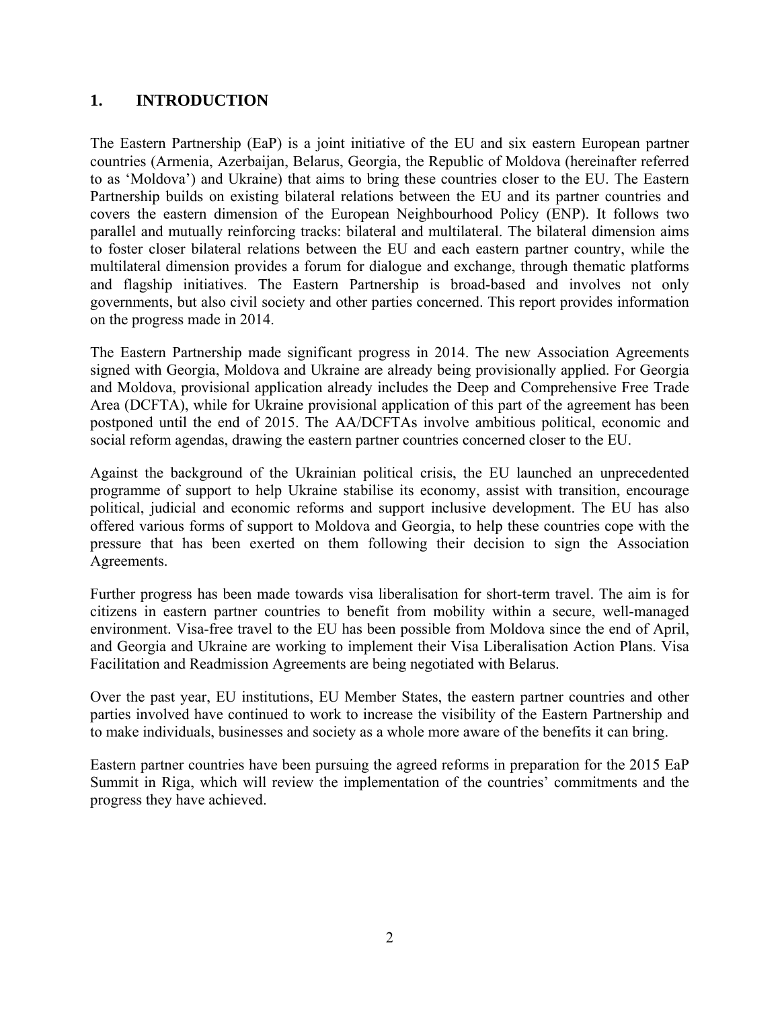# **1. INTRODUCTION**

The Eastern Partnership (EaP) is a joint initiative of the EU and six eastern European partner countries (Armenia, Azerbaijan, Belarus, Georgia, the Republic of Moldova (hereinafter referred to as 'Moldova') and Ukraine) that aims to bring these countries closer to the EU. The Eastern Partnership builds on existing bilateral relations between the EU and its partner countries and covers the eastern dimension of the European Neighbourhood Policy (ENP). It follows two parallel and mutually reinforcing tracks: bilateral and multilateral. The bilateral dimension aims to foster closer bilateral relations between the EU and each eastern partner country, while the multilateral dimension provides a forum for dialogue and exchange, through thematic platforms and flagship initiatives. The Eastern Partnership is broad-based and involves not only governments, but also civil society and other parties concerned. This report provides information on the progress made in 2014.

The Eastern Partnership made significant progress in 2014. The new Association Agreements signed with Georgia, Moldova and Ukraine are already being provisionally applied. For Georgia and Moldova, provisional application already includes the Deep and Comprehensive Free Trade Area (DCFTA), while for Ukraine provisional application of this part of the agreement has been postponed until the end of 2015. The AA/DCFTAs involve ambitious political, economic and social reform agendas, drawing the eastern partner countries concerned closer to the EU.

Against the background of the Ukrainian political crisis, the EU launched an unprecedented programme of support to help Ukraine stabilise its economy, assist with transition, encourage political, judicial and economic reforms and support inclusive development. The EU has also offered various forms of support to Moldova and Georgia, to help these countries cope with the pressure that has been exerted on them following their decision to sign the Association Agreements.

Further progress has been made towards visa liberalisation for short-term travel. The aim is for citizens in eastern partner countries to benefit from mobility within a secure, well-managed environment. Visa-free travel to the EU has been possible from Moldova since the end of April, and Georgia and Ukraine are working to implement their Visa Liberalisation Action Plans. Visa Facilitation and Readmission Agreements are being negotiated with Belarus.

Over the past year, EU institutions, EU Member States, the eastern partner countries and other parties involved have continued to work to increase the visibility of the Eastern Partnership and to make individuals, businesses and society as a whole more aware of the benefits it can bring.

Eastern partner countries have been pursuing the agreed reforms in preparation for the 2015 EaP Summit in Riga, which will review the implementation of the countries' commitments and the progress they have achieved.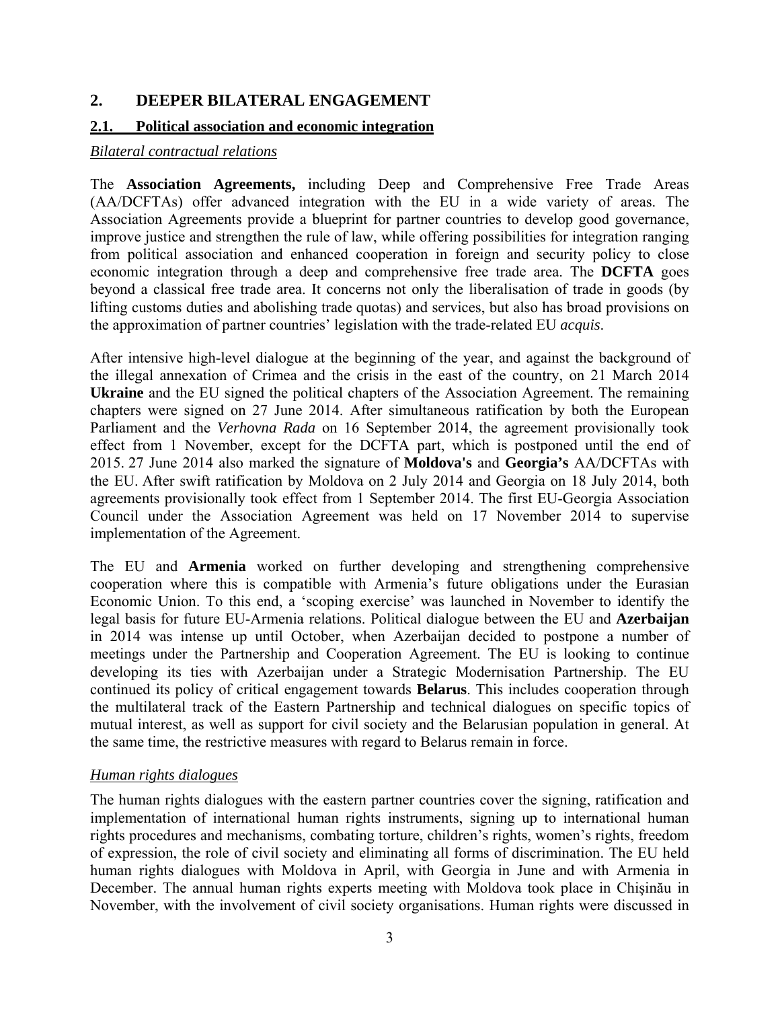## **2. DEEPER BILATERAL ENGAGEMENT**

### **2.1. Political association and economic integration**

#### *Bilateral contractual relations*

The **Association Agreements,** including Deep and Comprehensive Free Trade Areas (AA/DCFTAs) offer advanced integration with the EU in a wide variety of areas. The Association Agreements provide a blueprint for partner countries to develop good governance, improve justice and strengthen the rule of law, while offering possibilities for integration ranging from political association and enhanced cooperation in foreign and security policy to close economic integration through a deep and comprehensive free trade area. The **DCFTA** goes beyond a classical free trade area. It concerns not only the liberalisation of trade in goods (by lifting customs duties and abolishing trade quotas) and services, but also has broad provisions on the approximation of partner countries' legislation with the trade-related EU *acquis*.

After intensive high-level dialogue at the beginning of the year, and against the background of the illegal annexation of Crimea and the crisis in the east of the country, on 21 March 2014 **Ukraine** and the EU signed the political chapters of the Association Agreement. The remaining chapters were signed on 27 June 2014. After simultaneous ratification by both the European Parliament and the *Verhovna Rada* on 16 September 2014, the agreement provisionally took effect from 1 November, except for the DCFTA part, which is postponed until the end of 2015. 27 June 2014 also marked the signature of **Moldova's** and **Georgia's** AA/DCFTAs with the EU. After swift ratification by Moldova on 2 July 2014 and Georgia on 18 July 2014, both agreements provisionally took effect from 1 September 2014. The first EU-Georgia Association Council under the Association Agreement was held on 17 November 2014 to supervise implementation of the Agreement.

The EU and **Armenia** worked on further developing and strengthening comprehensive cooperation where this is compatible with Armenia's future obligations under the Eurasian Economic Union. To this end, a 'scoping exercise' was launched in November to identify the legal basis for future EU-Armenia relations. Political dialogue between the EU and **Azerbaijan** in 2014 was intense up until October, when Azerbaijan decided to postpone a number of meetings under the Partnership and Cooperation Agreement. The EU is looking to continue developing its ties with Azerbaijan under a Strategic Modernisation Partnership. The EU continued its policy of critical engagement towards **Belarus**. This includes cooperation through the multilateral track of the Eastern Partnership and technical dialogues on specific topics of mutual interest, as well as support for civil society and the Belarusian population in general. At the same time, the restrictive measures with regard to Belarus remain in force.

## *Human rights dialogues*

The human rights dialogues with the eastern partner countries cover the signing, ratification and implementation of international human rights instruments, signing up to international human rights procedures and mechanisms, combating torture, children's rights, women's rights, freedom of expression, the role of civil society and eliminating all forms of discrimination. The EU held human rights dialogues with Moldova in April, with Georgia in June and with Armenia in December. The annual human rights experts meeting with Moldova took place in Chişinău in November, with the involvement of civil society organisations. Human rights were discussed in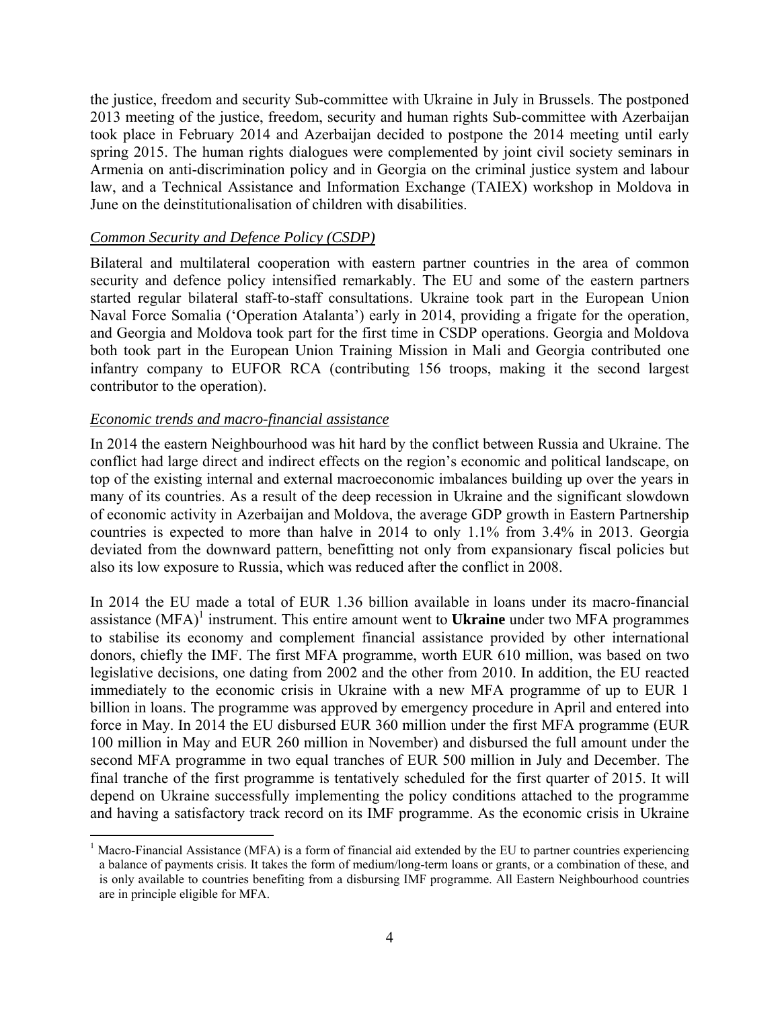the justice, freedom and security Sub-committee with Ukraine in July in Brussels. The postponed 2013 meeting of the justice, freedom, security and human rights Sub-committee with Azerbaijan took place in February 2014 and Azerbaijan decided to postpone the 2014 meeting until early spring 2015. The human rights dialogues were complemented by joint civil society seminars in Armenia on anti-discrimination policy and in Georgia on the criminal justice system and labour law, and a Technical Assistance and Information Exchange (TAIEX) workshop in Moldova in June on the deinstitutionalisation of children with disabilities.

### *Common Security and Defence Policy (CSDP)*

Bilateral and multilateral cooperation with eastern partner countries in the area of common security and defence policy intensified remarkably. The EU and some of the eastern partners started regular bilateral staff-to-staff consultations. Ukraine took part in the European Union Naval Force Somalia ('Operation Atalanta') early in 2014, providing a frigate for the operation, and Georgia and Moldova took part for the first time in CSDP operations. Georgia and Moldova both took part in the European Union Training Mission in Mali and Georgia contributed one infantry company to EUFOR RCA (contributing 156 troops, making it the second largest contributor to the operation).

#### *Economic trends and macro-financial assistance*

1

In 2014 the eastern Neighbourhood was hit hard by the conflict between Russia and Ukraine. The conflict had large direct and indirect effects on the region's economic and political landscape, on top of the existing internal and external macroeconomic imbalances building up over the years in many of its countries. As a result of the deep recession in Ukraine and the significant slowdown of economic activity in Azerbaijan and Moldova, the average GDP growth in Eastern Partnership countries is expected to more than halve in 2014 to only 1.1% from 3.4% in 2013. Georgia deviated from the downward pattern, benefitting not only from expansionary fiscal policies but also its low exposure to Russia, which was reduced after the conflict in 2008.

In 2014 the EU made a total of EUR 1.36 billion available in loans under its macro-financial assistance (MFA)<sup>1</sup> instrument. This entire amount went to **Ukraine** under two MFA programmes to stabilise its economy and complement financial assistance provided by other international donors, chiefly the IMF. The first MFA programme, worth EUR 610 million, was based on two legislative decisions, one dating from 2002 and the other from 2010. In addition, the EU reacted immediately to the economic crisis in Ukraine with a new MFA programme of up to EUR 1 billion in loans. The programme was approved by emergency procedure in April and entered into force in May. In 2014 the EU disbursed EUR 360 million under the first MFA programme (EUR 100 million in May and EUR 260 million in November) and disbursed the full amount under the second MFA programme in two equal tranches of EUR 500 million in July and December. The final tranche of the first programme is tentatively scheduled for the first quarter of 2015. It will depend on Ukraine successfully implementing the policy conditions attached to the programme and having a satisfactory track record on its IMF programme. As the economic crisis in Ukraine

<sup>1</sup> Macro-Financial Assistance (MFA) is a form of financial aid extended by the EU to partner countries experiencing a balance of payments crisis. It takes the form of medium/long-term loans or grants, or a combination of these, and is only available to countries benefiting from a disbursing IMF programme. All Eastern Neighbourhood countries are in principle eligible for MFA.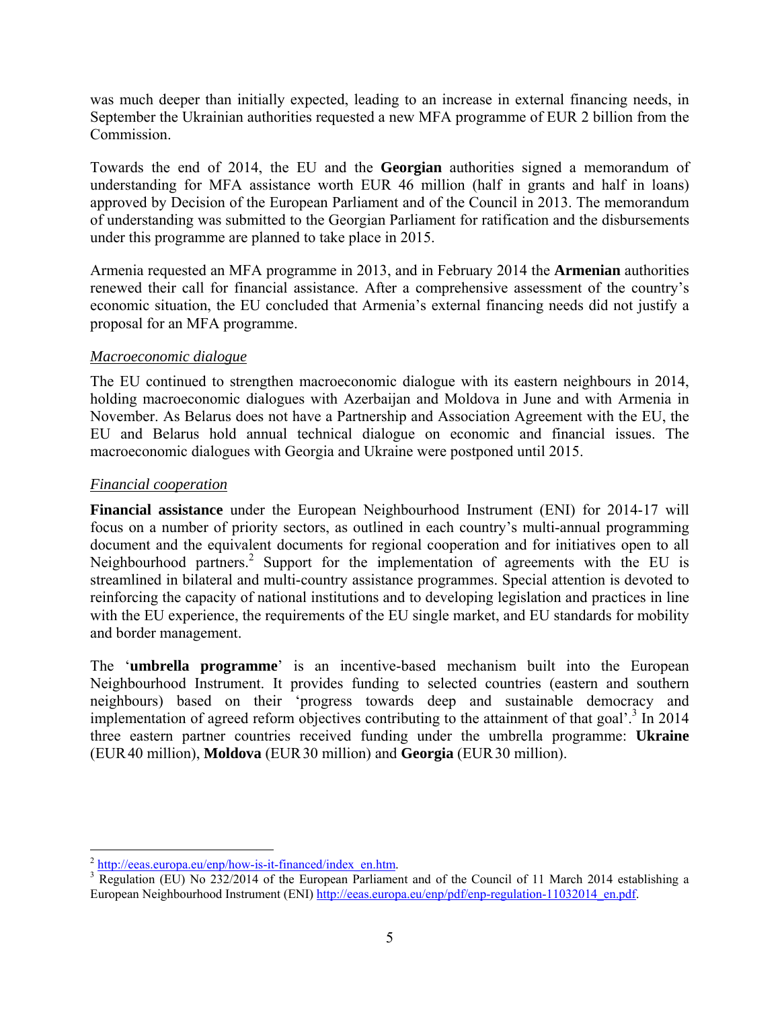was much deeper than initially expected, leading to an increase in external financing needs, in September the Ukrainian authorities requested a new MFA programme of EUR 2 billion from the Commission.

Towards the end of 2014, the EU and the **Georgian** authorities signed a memorandum of understanding for MFA assistance worth EUR 46 million (half in grants and half in loans) approved by Decision of the European Parliament and of the Council in 2013. The memorandum of understanding was submitted to the Georgian Parliament for ratification and the disbursements under this programme are planned to take place in 2015.

Armenia requested an MFA programme in 2013, and in February 2014 the **Armenian** authorities renewed their call for financial assistance. After a comprehensive assessment of the country's economic situation, the EU concluded that Armenia's external financing needs did not justify a proposal for an MFA programme.

## *Macroeconomic dialogue*

The EU continued to strengthen macroeconomic dialogue with its eastern neighbours in 2014, holding macroeconomic dialogues with Azerbaijan and Moldova in June and with Armenia in November. As Belarus does not have a Partnership and Association Agreement with the EU, the EU and Belarus hold annual technical dialogue on economic and financial issues. The macroeconomic dialogues with Georgia and Ukraine were postponed until 2015.

## *Financial cooperation*

**Financial assistance** under the European Neighbourhood Instrument (ENI) for 2014-17 will focus on a number of priority sectors, as outlined in each country's multi-annual programming document and the equivalent documents for regional cooperation and for initiatives open to all Neighbourhood partners.<sup>2</sup> Support for the implementation of agreements with the EU is streamlined in bilateral and multi-country assistance programmes. Special attention is devoted to reinforcing the capacity of national institutions and to developing legislation and practices in line with the EU experience, the requirements of the EU single market, and EU standards for mobility and border management.

The '**umbrella programme**' is an incentive-based mechanism built into the European Neighbourhood Instrument. It provides funding to selected countries (eastern and southern neighbours) based on their 'progress towards deep and sustainable democracy and implementation of agreed reform objectives contributing to the attainment of that goal'.<sup>3</sup> In 2014 three eastern partner countries received funding under the umbrella programme: **Ukraine**  (EUR40 million), **Moldova** (EUR30 million) and **Georgia** (EUR30 million).

<sup>&</sup>lt;u>.</u>  $\frac{2 \text{ http://eeas.europa.eu/en/how-is-it-financed/index_en.htm}}{2 \text{ Newton (EI) No } 232/2014 \text{ of the European Derlimers}}$  $\frac{2 \text{ http://eeas.europa.eu/en/how-is-it-financed/index_en.htm}}{2 \text{ Newton (EI) No } 232/2014 \text{ of the European Derlimers}}$  $\frac{2 \text{ http://eeas.europa.eu/en/how-is-it-financed/index_en.htm}}{2 \text{ Newton (EI) No } 232/2014 \text{ of the European Derlimers}}$ 

 $\overline{R}$  Regulation (EU) No 232/2014 of the European Parliament and of the Council of 11 March 2014 establishing a European Neighbourhood Instrument (ENI) [http://eeas.europa.eu/enp/pdf/enp-regulation-11032014\\_en.pdf.](http://eeas.europa.eu/enp/pdf/enp-regulation-11032014_en.pdf)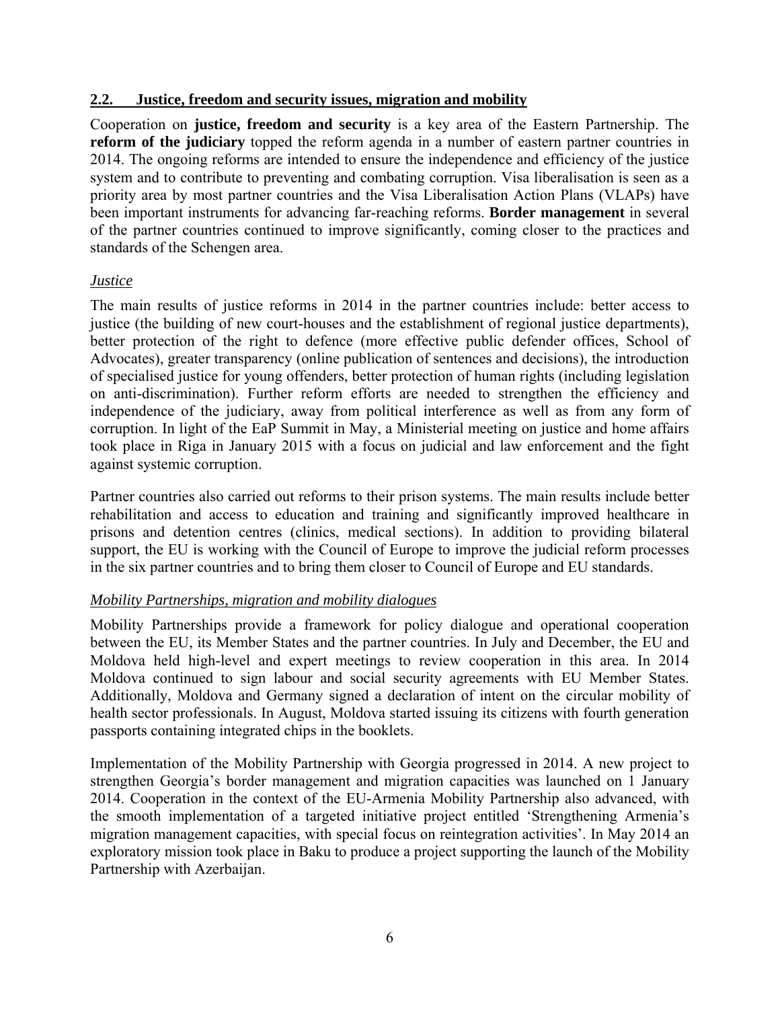#### **2.2. Justice, freedom and security issues, migration and mobility**

Cooperation on **justice, freedom and security** is a key area of the Eastern Partnership. The **reform of the judiciary** topped the reform agenda in a number of eastern partner countries in 2014. The ongoing reforms are intended to ensure the independence and efficiency of the justice system and to contribute to preventing and combating corruption. Visa liberalisation is seen as a priority area by most partner countries and the Visa Liberalisation Action Plans (VLAPs) have been important instruments for advancing far-reaching reforms. **Border management** in several of the partner countries continued to improve significantly, coming closer to the practices and standards of the Schengen area.

## *Justice*

The main results of justice reforms in 2014 in the partner countries include: better access to justice (the building of new court-houses and the establishment of regional justice departments), better protection of the right to defence (more effective public defender offices, School of Advocates), greater transparency (online publication of sentences and decisions), the introduction of specialised justice for young offenders, better protection of human rights (including legislation on anti-discrimination). Further reform efforts are needed to strengthen the efficiency and independence of the judiciary, away from political interference as well as from any form of corruption. In light of the EaP Summit in May, a Ministerial meeting on justice and home affairs took place in Riga in January 2015 with a focus on judicial and law enforcement and the fight against systemic corruption.

Partner countries also carried out reforms to their prison systems. The main results include better rehabilitation and access to education and training and significantly improved healthcare in prisons and detention centres (clinics, medical sections). In addition to providing bilateral support, the EU is working with the Council of Europe to improve the judicial reform processes in the six partner countries and to bring them closer to Council of Europe and EU standards.

## *Mobility Partnerships, migration and mobility dialogues*

Mobility Partnerships provide a framework for policy dialogue and operational cooperation between the EU, its Member States and the partner countries. In July and December, the EU and Moldova held high-level and expert meetings to review cooperation in this area. In 2014 Moldova continued to sign labour and social security agreements with EU Member States. Additionally, Moldova and Germany signed a declaration of intent on the circular mobility of health sector professionals. In August, Moldova started issuing its citizens with fourth generation passports containing integrated chips in the booklets.

Implementation of the Mobility Partnership with Georgia progressed in 2014. A new project to strengthen Georgia's border management and migration capacities was launched on 1 January 2014. Cooperation in the context of the EU-Armenia Mobility Partnership also advanced, with the smooth implementation of a targeted initiative project entitled 'Strengthening Armenia's migration management capacities, with special focus on reintegration activities'. In May 2014 an exploratory mission took place in Baku to produce a project supporting the launch of the Mobility Partnership with Azerbaijan.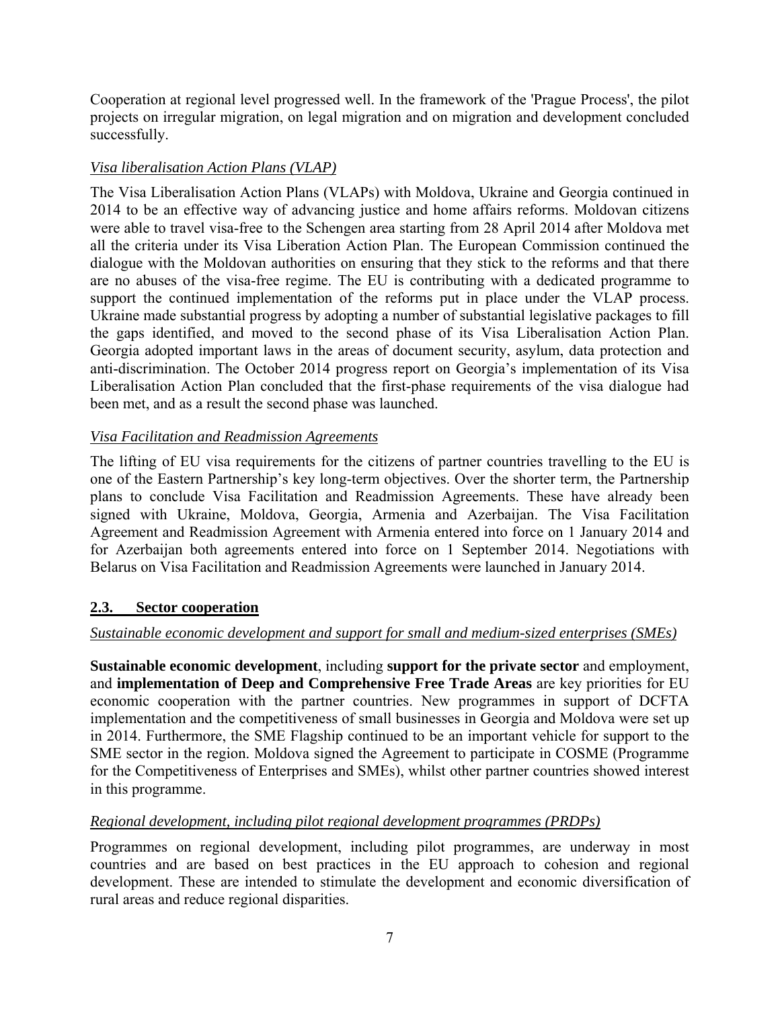Cooperation at regional level progressed well. In the framework of the 'Prague Process', the pilot projects on irregular migration, on legal migration and on migration and development concluded successfully.

## *Visa liberalisation Action Plans (VLAP)*

The Visa Liberalisation Action Plans (VLAPs) with Moldova, Ukraine and Georgia continued in 2014 to be an effective way of advancing justice and home affairs reforms. Moldovan citizens were able to travel visa-free to the Schengen area starting from 28 April 2014 after Moldova met all the criteria under its Visa Liberation Action Plan. The European Commission continued the dialogue with the Moldovan authorities on ensuring that they stick to the reforms and that there are no abuses of the visa-free regime. The EU is contributing with a dedicated programme to support the continued implementation of the reforms put in place under the VLAP process. Ukraine made substantial progress by adopting a number of substantial legislative packages to fill the gaps identified, and moved to the second phase of its Visa Liberalisation Action Plan. Georgia adopted important laws in the areas of document security, asylum, data protection and anti-discrimination. The October 2014 progress report on Georgia's implementation of its Visa Liberalisation Action Plan concluded that the first-phase requirements of the visa dialogue had been met, and as a result the second phase was launched.

## *Visa Facilitation and Readmission Agreements*

The lifting of EU visa requirements for the citizens of partner countries travelling to the EU is one of the Eastern Partnership's key long-term objectives. Over the shorter term, the Partnership plans to conclude Visa Facilitation and Readmission Agreements. These have already been signed with Ukraine, Moldova, Georgia, Armenia and Azerbaijan. The Visa Facilitation Agreement and Readmission Agreement with Armenia entered into force on 1 January 2014 and for Azerbaijan both agreements entered into force on 1 September 2014. Negotiations with Belarus on Visa Facilitation and Readmission Agreements were launched in January 2014.

## **2.3. Sector cooperation**

## *Sustainable economic development and support for small and medium-sized enterprises (SMEs)*

**Sustainable economic development**, including **support for the private sector** and employment, and **implementation of Deep and Comprehensive Free Trade Areas** are key priorities for EU economic cooperation with the partner countries. New programmes in support of DCFTA implementation and the competitiveness of small businesses in Georgia and Moldova were set up in 2014. Furthermore, the SME Flagship continued to be an important vehicle for support to the SME sector in the region. Moldova signed the Agreement to participate in COSME (Programme for the Competitiveness of Enterprises and SMEs), whilst other partner countries showed interest in this programme.

## *Regional development, including pilot regional development programmes (PRDPs)*

Programmes on regional development, including pilot programmes, are underway in most countries and are based on best practices in the EU approach to cohesion and regional development. These are intended to stimulate the development and economic diversification of rural areas and reduce regional disparities.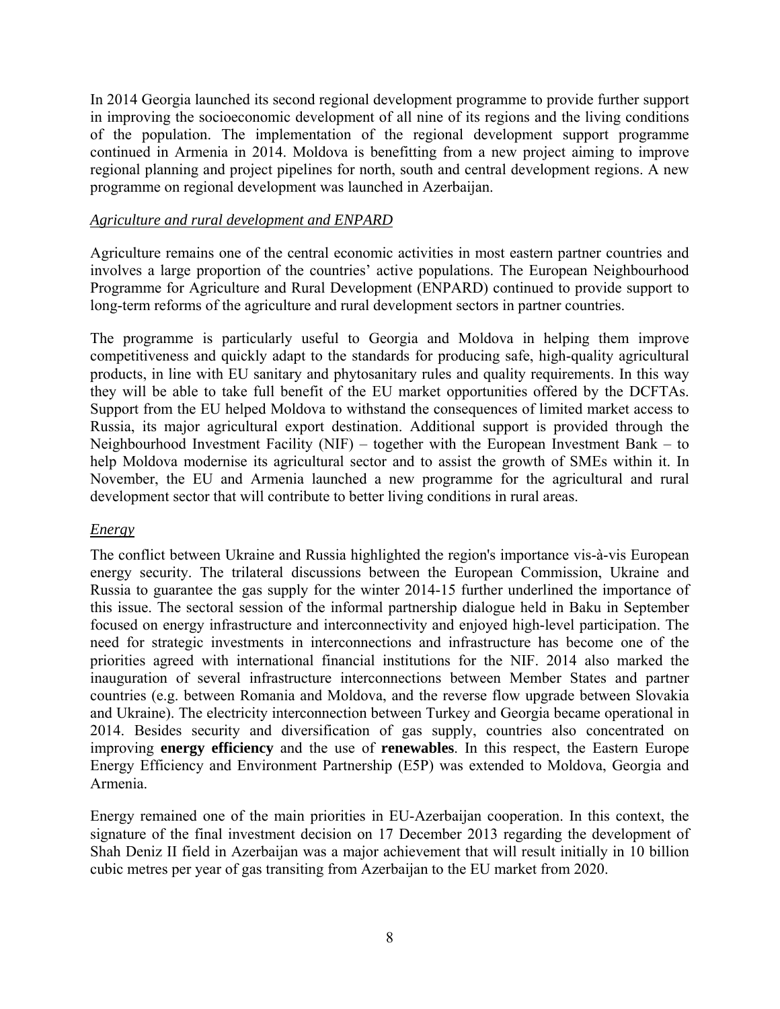In 2014 Georgia launched its second regional development programme to provide further support in improving the socioeconomic development of all nine of its regions and the living conditions of the population. The implementation of the regional development support programme continued in Armenia in 2014. Moldova is benefitting from a new project aiming to improve regional planning and project pipelines for north, south and central development regions. A new programme on regional development was launched in Azerbaijan.

#### *Agriculture and rural development and ENPARD*

Agriculture remains one of the central economic activities in most eastern partner countries and involves a large proportion of the countries' active populations. The European Neighbourhood Programme for Agriculture and Rural Development (ENPARD) continued to provide support to long-term reforms of the agriculture and rural development sectors in partner countries.

The programme is particularly useful to Georgia and Moldova in helping them improve competitiveness and quickly adapt to the standards for producing safe, high-quality agricultural products, in line with EU sanitary and phytosanitary rules and quality requirements. In this way they will be able to take full benefit of the EU market opportunities offered by the DCFTAs. Support from the EU helped Moldova to withstand the consequences of limited market access to Russia, its major agricultural export destination. Additional support is provided through the Neighbourhood Investment Facility (NIF) – together with the European Investment Bank – to help Moldova modernise its agricultural sector and to assist the growth of SMEs within it. In November, the EU and Armenia launched a new programme for the agricultural and rural development sector that will contribute to better living conditions in rural areas.

## *Energy*

The conflict between Ukraine and Russia highlighted the region's importance vis-à-vis European energy security. The trilateral discussions between the European Commission, Ukraine and Russia to guarantee the gas supply for the winter 2014-15 further underlined the importance of this issue. The sectoral session of the informal partnership dialogue held in Baku in September focused on energy infrastructure and interconnectivity and enjoyed high-level participation. The need for strategic investments in interconnections and infrastructure has become one of the priorities agreed with international financial institutions for the NIF. 2014 also marked the inauguration of several infrastructure interconnections between Member States and partner countries (e.g. between Romania and Moldova, and the reverse flow upgrade between Slovakia and Ukraine). The electricity interconnection between Turkey and Georgia became operational in 2014. Besides security and diversification of gas supply, countries also concentrated on improving **energy efficiency** and the use of **renewables**. In this respect, the Eastern Europe Energy Efficiency and Environment Partnership (E5P) was extended to Moldova, Georgia and Armenia.

Energy remained one of the main priorities in EU-Azerbaijan cooperation. In this context, the signature of the final investment decision on 17 December 2013 regarding the development of Shah Deniz II field in Azerbaijan was a major achievement that will result initially in 10 billion cubic metres per year of gas transiting from Azerbaijan to the EU market from 2020.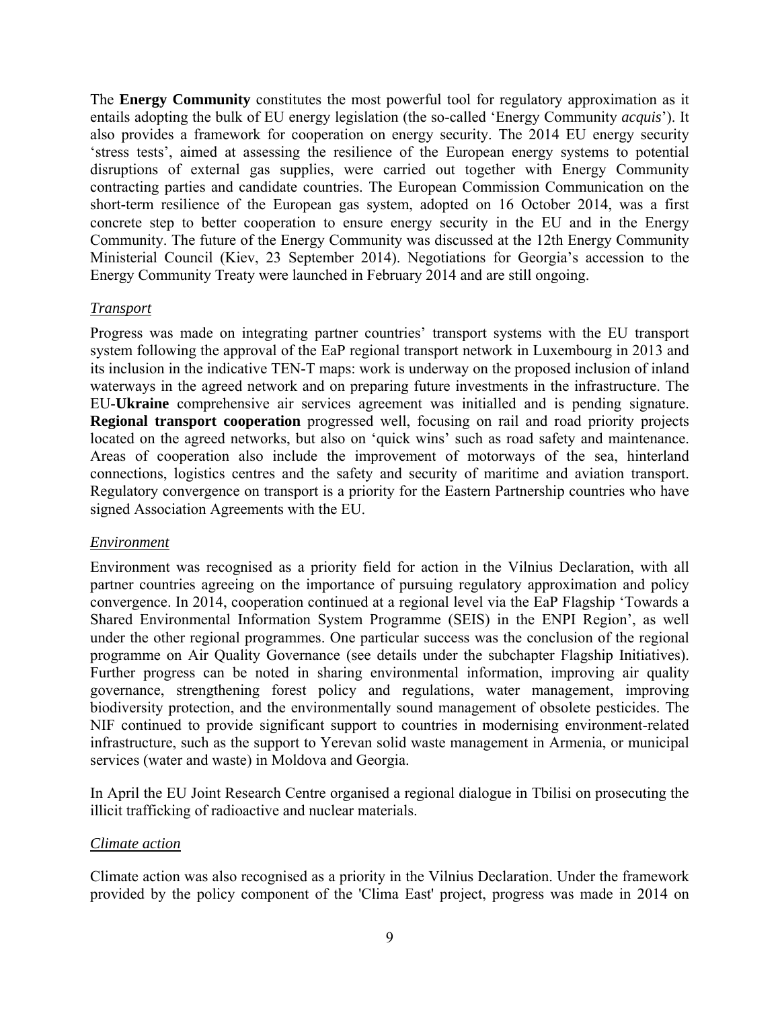The **Energy Community** constitutes the most powerful tool for regulatory approximation as it entails adopting the bulk of EU energy legislation (the so-called 'Energy Community *acquis*'). It also provides a framework for cooperation on energy security. The 2014 EU energy security 'stress tests', aimed at assessing the resilience of the European energy systems to potential disruptions of external gas supplies, were carried out together with Energy Community contracting parties and candidate countries. The European Commission Communication on the short-term resilience of the European gas system, adopted on 16 October 2014, was a first concrete step to better cooperation to ensure energy security in the EU and in the Energy Community. The future of the Energy Community was discussed at the 12th Energy Community Ministerial Council (Kiev, 23 September 2014). Negotiations for Georgia's accession to the Energy Community Treaty were launched in February 2014 and are still ongoing.

#### *Transport*

Progress was made on integrating partner countries' transport systems with the EU transport system following the approval of the EaP regional transport network in Luxembourg in 2013 and its inclusion in the indicative TEN-T maps: work is underway on the proposed inclusion of inland waterways in the agreed network and on preparing future investments in the infrastructure. The EU-**Ukraine** comprehensive air services agreement was initialled and is pending signature. **Regional transport cooperation** progressed well, focusing on rail and road priority projects located on the agreed networks, but also on 'quick wins' such as road safety and maintenance. Areas of cooperation also include the improvement of motorways of the sea, hinterland connections, logistics centres and the safety and security of maritime and aviation transport. Regulatory convergence on transport is a priority for the Eastern Partnership countries who have signed Association Agreements with the EU.

#### *Environment*

Environment was recognised as a priority field for action in the Vilnius Declaration, with all partner countries agreeing on the importance of pursuing regulatory approximation and policy convergence. In 2014, cooperation continued at a regional level via the EaP Flagship 'Towards a Shared Environmental Information System Programme (SEIS) in the ENPI Region', as well under the other regional programmes. One particular success was the conclusion of the regional programme on Air Quality Governance (see details under the subchapter Flagship Initiatives). Further progress can be noted in sharing environmental information, improving air quality governance, strengthening forest policy and regulations, water management, improving biodiversity protection, and the environmentally sound management of obsolete pesticides. The NIF continued to provide significant support to countries in modernising environment-related infrastructure, such as the support to Yerevan solid waste management in Armenia, or municipal services (water and waste) in Moldova and Georgia.

In April the EU Joint Research Centre organised a regional dialogue in Tbilisi on prosecuting the illicit trafficking of radioactive and nuclear materials.

#### *Climate action*

Climate action was also recognised as a priority in the Vilnius Declaration. Under the framework provided by the policy component of the 'Clima East' project, progress was made in 2014 on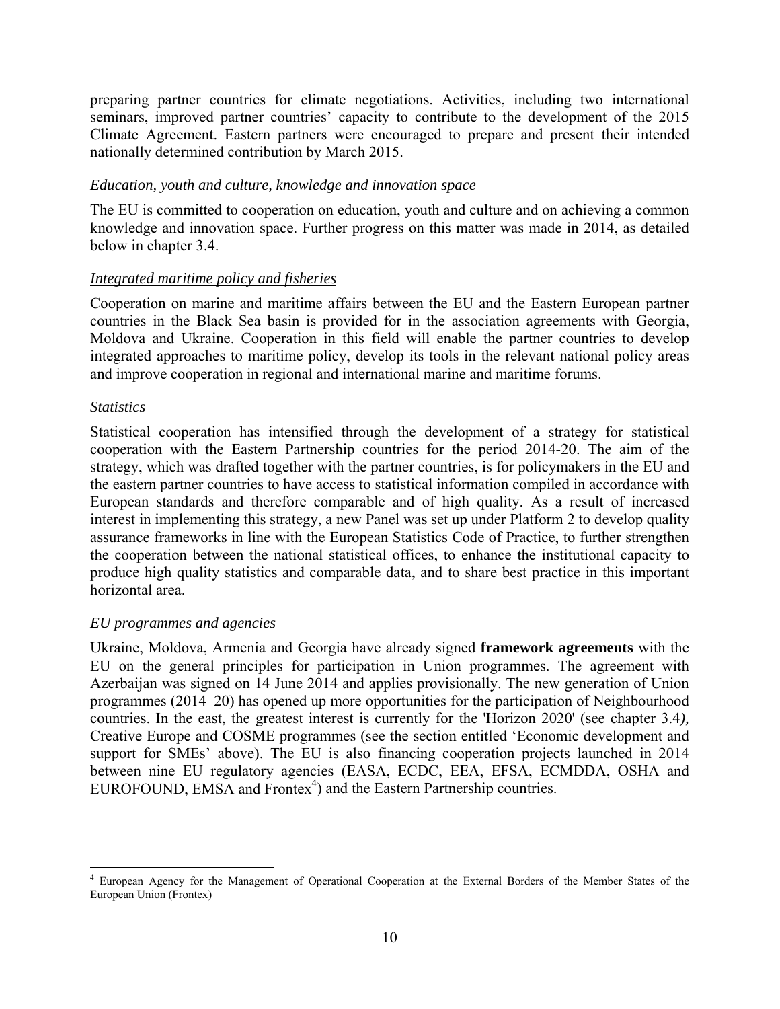preparing partner countries for climate negotiations. Activities, including two international seminars, improved partner countries' capacity to contribute to the development of the 2015 Climate Agreement. Eastern partners were encouraged to prepare and present their intended nationally determined contribution by March 2015.

#### *Education, youth and culture, knowledge and innovation space*

The EU is committed to cooperation on education, youth and culture and on achieving a common knowledge and innovation space. Further progress on this matter was made in 2014, as detailed below in chapter 3.4.

#### *Integrated maritime policy and fisheries*

Cooperation on marine and maritime affairs between the EU and the Eastern European partner countries in the Black Sea basin is provided for in the association agreements with Georgia, Moldova and Ukraine. Cooperation in this field will enable the partner countries to develop integrated approaches to maritime policy, develop its tools in the relevant national policy areas and improve cooperation in regional and international marine and maritime forums.

#### *Statistics*

Statistical cooperation has intensified through the development of a strategy for statistical cooperation with the Eastern Partnership countries for the period 2014-20. The aim of the strategy, which was drafted together with the partner countries, is for policymakers in the EU and the eastern partner countries to have access to statistical information compiled in accordance with European standards and therefore comparable and of high quality. As a result of increased interest in implementing this strategy, a new Panel was set up under Platform 2 to develop quality assurance frameworks in line with the European Statistics Code of Practice, to further strengthen the cooperation between the national statistical offices, to enhance the institutional capacity to produce high quality statistics and comparable data, and to share best practice in this important horizontal area.

## *EU programmes and agencies*

Ukraine, Moldova, Armenia and Georgia have already signed **framework agreements** with the EU on the general principles for participation in Union programmes. The agreement with Azerbaijan was signed on 14 June 2014 and applies provisionally. The new generation of Union programmes (2014–20) has opened up more opportunities for the participation of Neighbourhood countries. In the east, the greatest interest is currently for the 'Horizon 2020' (see chapter 3.4*),*  Creative Europe and COSME programmes (see the section entitled 'Economic development and support for SMEs' above). The EU is also financing cooperation projects launched in 2014 between nine EU regulatory agencies (EASA, ECDC, EEA, EFSA, ECMDDA, OSHA and EUROFOUND, EMSA and  $Fronter<sup>4</sup>$  and the Eastern Partnership countries.

<sup>1</sup> 4 European Agency for the Management of Operational Cooperation at the External Borders of the Member States of the European Union (Frontex)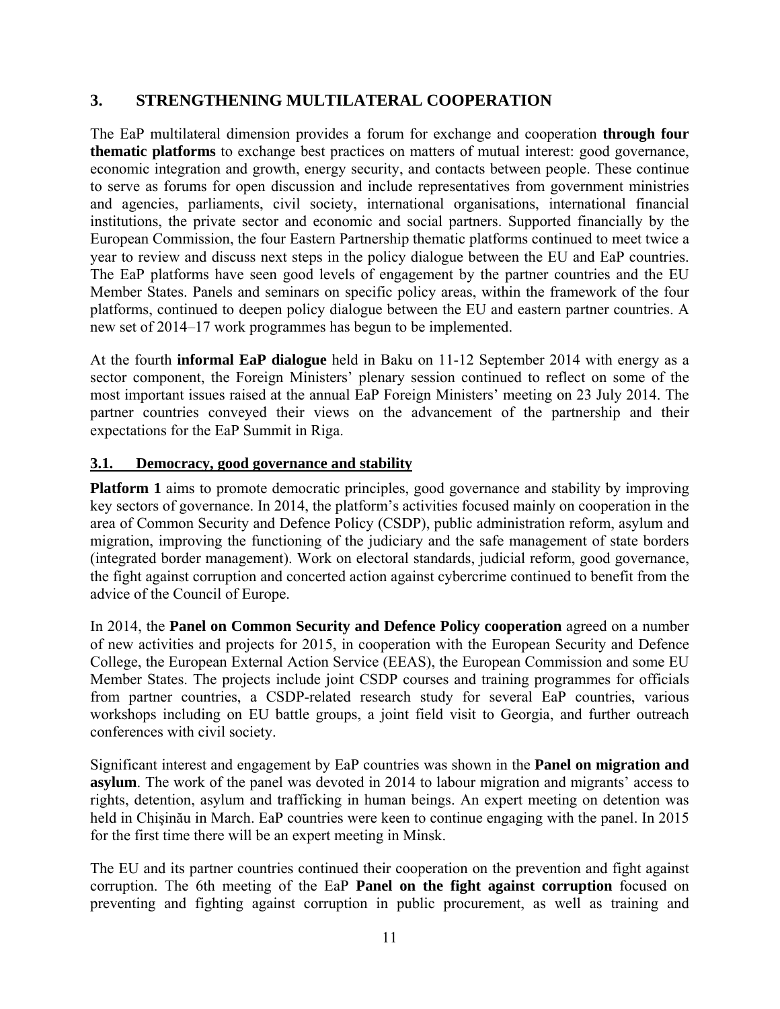## **3. STRENGTHENING MULTILATERAL COOPERATION**

The EaP multilateral dimension provides a forum for exchange and cooperation **through four thematic platforms** to exchange best practices on matters of mutual interest: good governance, economic integration and growth, energy security, and contacts between people. These continue to serve as forums for open discussion and include representatives from government ministries and agencies, parliaments, civil society, international organisations, international financial institutions, the private sector and economic and social partners. Supported financially by the European Commission, the four Eastern Partnership thematic platforms continued to meet twice a year to review and discuss next steps in the policy dialogue between the EU and EaP countries. The EaP platforms have seen good levels of engagement by the partner countries and the EU Member States. Panels and seminars on specific policy areas, within the framework of the four platforms, continued to deepen policy dialogue between the EU and eastern partner countries. A new set of 2014–17 work programmes has begun to be implemented.

At the fourth **informal EaP dialogue** held in Baku on 11-12 September 2014 with energy as a sector component, the Foreign Ministers' plenary session continued to reflect on some of the most important issues raised at the annual EaP Foreign Ministers' meeting on 23 July 2014. The partner countries conveyed their views on the advancement of the partnership and their expectations for the EaP Summit in Riga.

## **3.1. Democracy, good governance and stability**

**Platform 1** aims to promote democratic principles, good governance and stability by improving key sectors of governance. In 2014, the platform's activities focused mainly on cooperation in the area of Common Security and Defence Policy (CSDP), public administration reform, asylum and migration, improving the functioning of the judiciary and the safe management of state borders (integrated border management). Work on electoral standards, judicial reform, good governance, the fight against corruption and concerted action against cybercrime continued to benefit from the advice of the Council of Europe.

In 2014, the **Panel on Common Security and Defence Policy cooperation** agreed on a number of new activities and projects for 2015, in cooperation with the European Security and Defence College, the European External Action Service (EEAS), the European Commission and some EU Member States. The projects include joint CSDP courses and training programmes for officials from partner countries, a CSDP-related research study for several EaP countries, various workshops including on EU battle groups, a joint field visit to Georgia, and further outreach conferences with civil society.

Significant interest and engagement by EaP countries was shown in the **Panel on migration and asylum**. The work of the panel was devoted in 2014 to labour migration and migrants' access to rights, detention, asylum and trafficking in human beings. An expert meeting on detention was held in Chişinău in March. EaP countries were keen to continue engaging with the panel. In 2015 for the first time there will be an expert meeting in Minsk.

The EU and its partner countries continued their cooperation on the prevention and fight against corruption. The 6th meeting of the EaP **Panel on the fight against corruption** focused on preventing and fighting against corruption in public procurement, as well as training and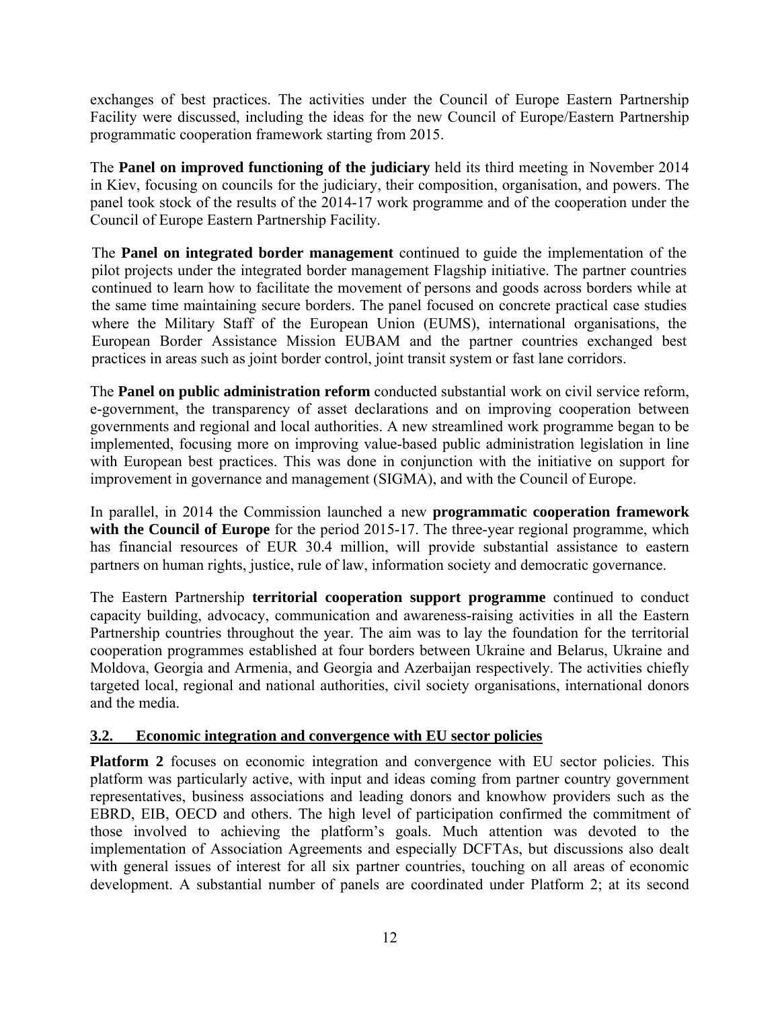exchanges of best practices. The activities under the Council of Europe Eastern Partnership Facility were discussed, including the ideas for the new Council of Europe/Eastern Partnership programmatic cooperation framework starting from 2015.

The **Panel on improved functioning of the judiciary** held its third meeting in November 2014 in Kiev, focusing on councils for the judiciary, their composition, organisation, and powers. The panel took stock of the results of the 2014-17 work programme and of the cooperation under the Council of Europe Eastern Partnership Facility.

The **Panel on integrated border management** continued to guide the implementation of the pilot projects under the integrated border management Flagship initiative. The partner countries continued to learn how to facilitate the movement of persons and goods across borders while at the same time maintaining secure borders. The panel focused on concrete practical case studies where the Military Staff of the European Union (EUMS), international organisations, the European Border Assistance Mission EUBAM and the partner countries exchanged best practices in areas such as joint border control, joint transit system or fast lane corridors.

The **Panel on public administration reform** conducted substantial work on civil service reform, e-government, the transparency of asset declarations and on improving cooperation between governments and regional and local authorities. A new streamlined work programme began to be implemented, focusing more on improving value-based public administration legislation in line with European best practices. This was done in conjunction with the initiative on support for improvement in governance and management (SIGMA), and with the Council of Europe.

In parallel, in 2014 the Commission launched a new **programmatic cooperation framework**  with the Council of Europe for the period 2015-17. The three-year regional programme, which has financial resources of EUR 30.4 million, will provide substantial assistance to eastern partners on human rights, justice, rule of law, information society and democratic governance.

The Eastern Partnership **territorial cooperation support programme** continued to conduct capacity building, advocacy, communication and awareness-raising activities in all the Eastern Partnership countries throughout the year. The aim was to lay the foundation for the territorial cooperation programmes established at four borders between Ukraine and Belarus, Ukraine and Moldova, Georgia and Armenia, and Georgia and Azerbaijan respectively. The activities chiefly targeted local, regional and national authorities, civil society organisations, international donors and the media.

## **3.2. Economic integration and convergence with EU sector policies**

**Platform 2** focuses on economic integration and convergence with EU sector policies. This platform was particularly active, with input and ideas coming from partner country government representatives, business associations and leading donors and knowhow providers such as the EBRD, EIB, OECD and others. The high level of participation confirmed the commitment of those involved to achieving the platform's goals. Much attention was devoted to the implementation of Association Agreements and especially DCFTAs, but discussions also dealt with general issues of interest for all six partner countries, touching on all areas of economic development. A substantial number of panels are coordinated under Platform 2; at its second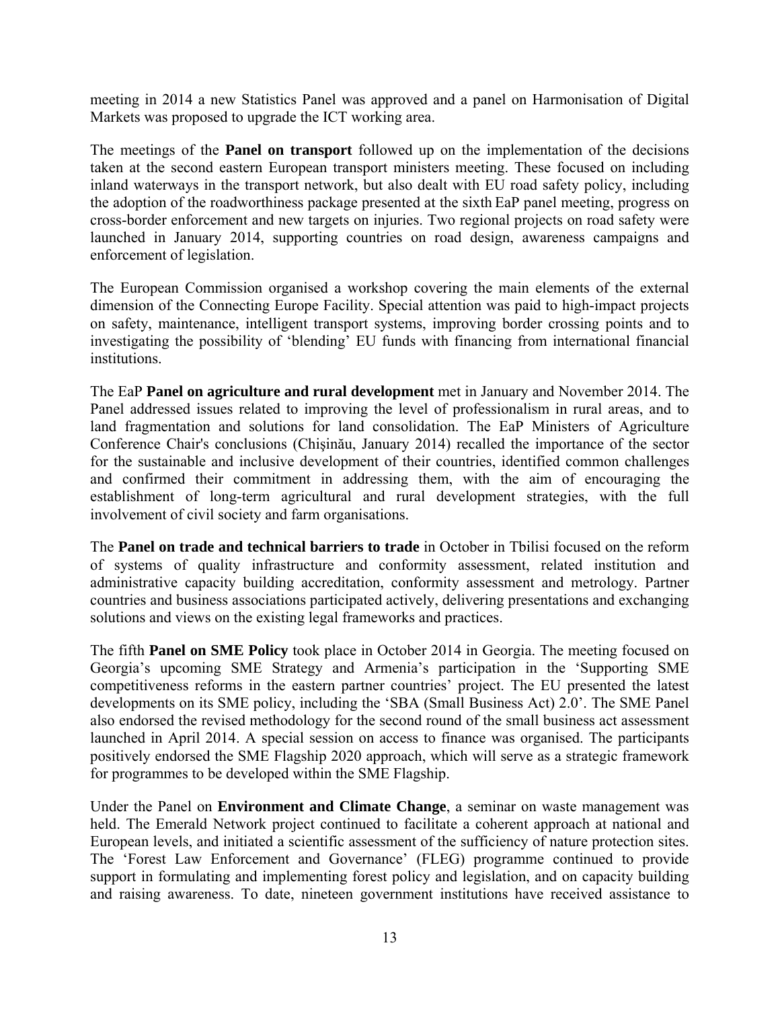meeting in 2014 a new Statistics Panel was approved and a panel on Harmonisation of Digital Markets was proposed to upgrade the ICT working area.

The meetings of the **Panel on transport** followed up on the implementation of the decisions taken at the second eastern European transport ministers meeting. These focused on including inland waterways in the transport network, but also dealt with EU road safety policy, including the adoption of the roadworthiness package presented at the sixth EaP panel meeting, progress on cross-border enforcement and new targets on injuries. Two regional projects on road safety were launched in January 2014, supporting countries on road design, awareness campaigns and enforcement of legislation.

The European Commission organised a workshop covering the main elements of the external dimension of the Connecting Europe Facility. Special attention was paid to high-impact projects on safety, maintenance, intelligent transport systems, improving border crossing points and to investigating the possibility of 'blending' EU funds with financing from international financial institutions.

The EaP **Panel on agriculture and rural development** met in January and November 2014. The Panel addressed issues related to improving the level of professionalism in rural areas, and to land fragmentation and solutions for land consolidation. The EaP Ministers of Agriculture Conference Chair's conclusions (Chişinău, January 2014) recalled the importance of the sector for the sustainable and inclusive development of their countries, identified common challenges and confirmed their commitment in addressing them, with the aim of encouraging the establishment of long-term agricultural and rural development strategies, with the full involvement of civil society and farm organisations.

The **Panel on trade and technical barriers to trade** in October in Tbilisi focused on the reform of systems of quality infrastructure and conformity assessment, related institution and administrative capacity building accreditation, conformity assessment and metrology. Partner countries and business associations participated actively, delivering presentations and exchanging solutions and views on the existing legal frameworks and practices.

The fifth **Panel on SME Policy** took place in October 2014 in Georgia. The meeting focused on Georgia's upcoming SME Strategy and Armenia's participation in the 'Supporting SME competitiveness reforms in the eastern partner countries' project. The EU presented the latest developments on its SME policy, including the 'SBA (Small Business Act) 2.0'. The SME Panel also endorsed the revised methodology for the second round of the small business act assessment launched in April 2014. A special session on access to finance was organised. The participants positively endorsed the SME Flagship 2020 approach, which will serve as a strategic framework for programmes to be developed within the SME Flagship.

Under the Panel on **Environment and Climate Change**, a seminar on waste management was held. The Emerald Network project continued to facilitate a coherent approach at national and European levels, and initiated a scientific assessment of the sufficiency of nature protection sites. The 'Forest Law Enforcement and Governance' (FLEG) programme continued to provide support in formulating and implementing forest policy and legislation, and on capacity building and raising awareness. To date, nineteen government institutions have received assistance to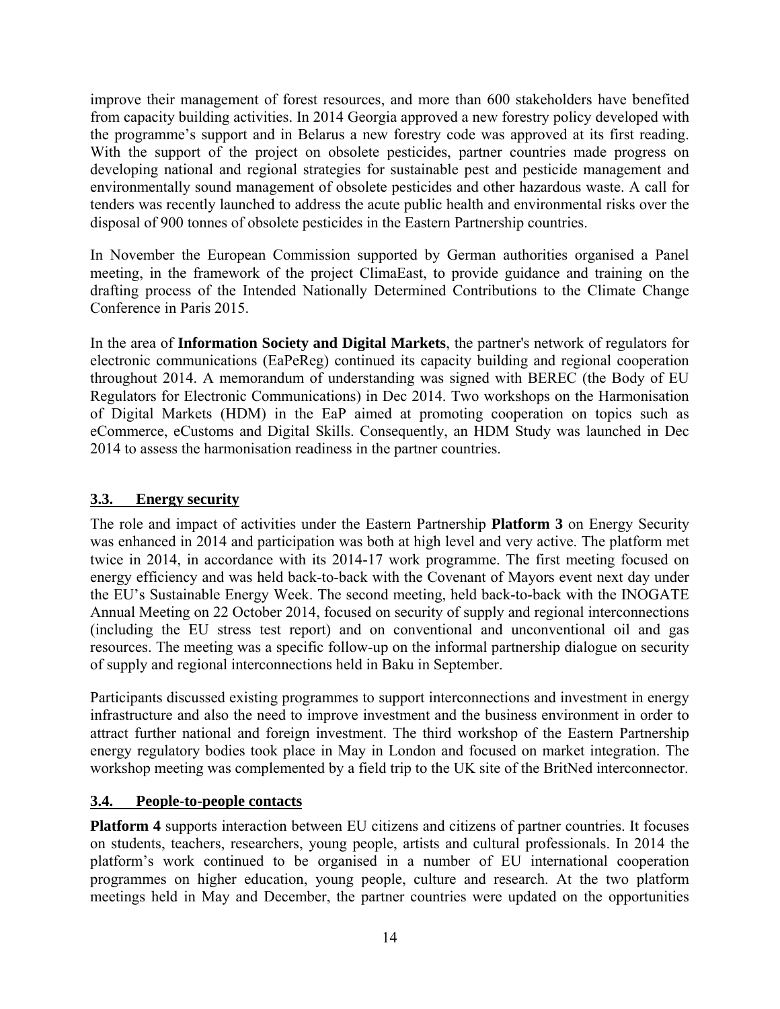improve their management of forest resources, and more than 600 stakeholders have benefited from capacity building activities. In 2014 Georgia approved a new forestry policy developed with the programme's support and in Belarus a new forestry code was approved at its first reading. With the support of the project on obsolete pesticides, partner countries made progress on developing national and regional strategies for sustainable pest and pesticide management and environmentally sound management of obsolete pesticides and other hazardous waste. A call for tenders was recently launched to address the acute public health and environmental risks over the disposal of 900 tonnes of obsolete pesticides in the Eastern Partnership countries.

In November the European Commission supported by German authorities organised a Panel meeting, in the framework of the project ClimaEast, to provide guidance and training on the drafting process of the Intended Nationally Determined Contributions to the Climate Change Conference in Paris 2015.

In the area of **Information Society and Digital Markets**, the partner's network of regulators for electronic communications (EaPeReg) continued its capacity building and regional cooperation throughout 2014. A memorandum of understanding was signed with BEREC (the Body of EU Regulators for Electronic Communications) in Dec 2014. Two workshops on the Harmonisation of Digital Markets (HDM) in the EaP aimed at promoting cooperation on topics such as eCommerce, eCustoms and Digital Skills. Consequently, an HDM Study was launched in Dec 2014 to assess the harmonisation readiness in the partner countries.

## **3.3. Energy security**

The role and impact of activities under the Eastern Partnership **Platform 3** on Energy Security was enhanced in 2014 and participation was both at high level and very active. The platform met twice in 2014, in accordance with its 2014-17 work programme. The first meeting focused on energy efficiency and was held back-to-back with the Covenant of Mayors event next day under the EU's Sustainable Energy Week. The second meeting, held back-to-back with the INOGATE Annual Meeting on 22 October 2014, focused on security of supply and regional interconnections (including the EU stress test report) and on conventional and unconventional oil and gas resources. The meeting was a specific follow-up on the informal partnership dialogue on security of supply and regional interconnections held in Baku in September.

Participants discussed existing programmes to support interconnections and investment in energy infrastructure and also the need to improve investment and the business environment in order to attract further national and foreign investment. The third workshop of the Eastern Partnership energy regulatory bodies took place in May in London and focused on market integration. The workshop meeting was complemented by a field trip to the UK site of the BritNed interconnector.

## **3.4. People-to-people contacts**

**Platform 4** supports interaction between EU citizens and citizens of partner countries. It focuses on students, teachers, researchers, young people, artists and cultural professionals. In 2014 the platform's work continued to be organised in a number of EU international cooperation programmes on higher education, young people, culture and research. At the two platform meetings held in May and December, the partner countries were updated on the opportunities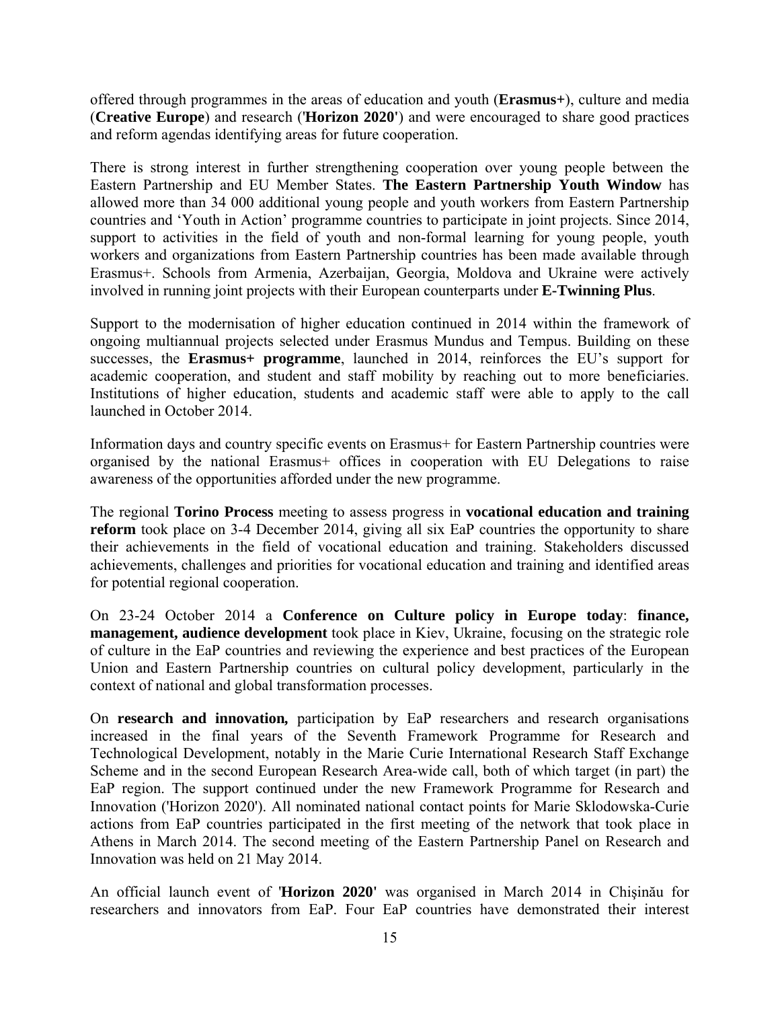offered through programmes in the areas of education and youth (**Erasmus+**), culture and media (**Creative Europe**) and research ('**Horizon 2020'**) and were encouraged to share good practices and reform agendas identifying areas for future cooperation.

There is strong interest in further strengthening cooperation over young people between the Eastern Partnership and EU Member States. **The Eastern Partnership Youth Window** has allowed more than 34 000 additional young people and youth workers from Eastern Partnership countries and 'Youth in Action' programme countries to participate in joint projects. Since 2014, support to activities in the field of youth and non-formal learning for young people, youth workers and organizations from Eastern Partnership countries has been made available through Erasmus+. Schools from Armenia, Azerbaijan, Georgia, Moldova and Ukraine were actively involved in running joint projects with their European counterparts under **E-Twinning Plus**.

Support to the modernisation of higher education continued in 2014 within the framework of ongoing multiannual projects selected under Erasmus Mundus and Tempus. Building on these successes, the **Erasmus+ programme**, launched in 2014, reinforces the EU's support for academic cooperation, and student and staff mobility by reaching out to more beneficiaries. Institutions of higher education, students and academic staff were able to apply to the call launched in October 2014.

Information days and country specific events on Erasmus+ for Eastern Partnership countries were organised by the national Erasmus+ offices in cooperation with EU Delegations to raise awareness of the opportunities afforded under the new programme.

The regional **Torino Process** meeting to assess progress in **vocational education and training reform** took place on 3-4 December 2014, giving all six EaP countries the opportunity to share their achievements in the field of vocational education and training. Stakeholders discussed achievements, challenges and priorities for vocational education and training and identified areas for potential regional cooperation.

On 23-24 October 2014 a **Conference on Culture policy in Europe today**: **finance, management, audience development** took place in Kiev, Ukraine, focusing on the strategic role of culture in the EaP countries and reviewing the experience and best practices of the European Union and Eastern Partnership countries on cultural policy development, particularly in the context of national and global transformation processes.

On **research and innovation***,* participation by EaP researchers and research organisations increased in the final years of the Seventh Framework Programme for Research and Technological Development, notably in the Marie Curie International Research Staff Exchange Scheme and in the second European Research Area-wide call, both of which target (in part) the EaP region. The support continued under the new Framework Programme for Research and Innovation ('Horizon 2020'). All nominated national contact points for Marie Sklodowska-Curie actions from EaP countries participated in the first meeting of the network that took place in Athens in March 2014. The second meeting of the Eastern Partnership Panel on Research and Innovation was held on 21 May 2014.

An official launch event of '**Horizon 2020'** was organised in March 2014 in Chişinău for researchers and innovators from EaP. Four EaP countries have demonstrated their interest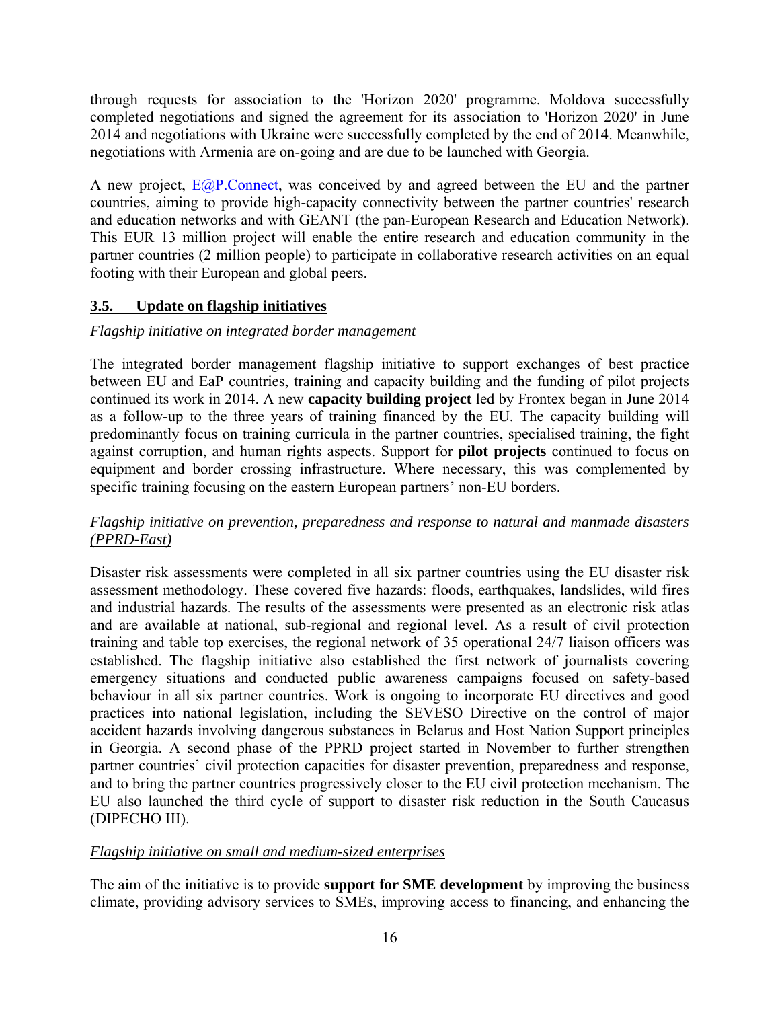through requests for association to the 'Horizon 2020' programme. Moldova successfully completed negotiations and signed the agreement for its association to 'Horizon 2020' in June 2014 and negotiations with Ukraine were successfully completed by the end of 2014. Meanwhile, negotiations with Armenia are on-going and are due to be launched with Georgia.

A new project, [E@P.Connect,](mailto:E@P.Connect) was conceived by and agreed between the EU and the partner countries, aiming to provide high-capacity connectivity between the partner countries' research and education networks and with GEANT (the pan-European Research and Education Network). This EUR 13 million project will enable the entire research and education community in the partner countries (2 million people) to participate in collaborative research activities on an equal footing with their European and global peers.

## **3.5. Update on flagship initiatives**

## *Flagship initiative on integrated border management*

The integrated border management flagship initiative to support exchanges of best practice between EU and EaP countries, training and capacity building and the funding of pilot projects continued its work in 2014. A new **capacity building project** led by Frontex began in June 2014 as a follow-up to the three years of training financed by the EU. The capacity building will predominantly focus on training curricula in the partner countries, specialised training, the fight against corruption, and human rights aspects. Support for **pilot projects** continued to focus on equipment and border crossing infrastructure. Where necessary, this was complemented by specific training focusing on the eastern European partners' non-EU borders.

## *Flagship initiative on prevention, preparedness and response to natural and manmade disasters (PPRD-East)*

Disaster risk assessments were completed in all six partner countries using the EU disaster risk assessment methodology. These covered five hazards: floods, earthquakes, landslides, wild fires and industrial hazards. The results of the assessments were presented as an electronic risk atlas and are available at national, sub-regional and regional level. As a result of civil protection training and table top exercises, the regional network of 35 operational 24/7 liaison officers was established. The flagship initiative also established the first network of journalists covering emergency situations and conducted public awareness campaigns focused on safety-based behaviour in all six partner countries. Work is ongoing to incorporate EU directives and good practices into national legislation, including the SEVESO Directive on the control of major accident hazards involving dangerous substances in Belarus and Host Nation Support principles in Georgia. A second phase of the PPRD project started in November to further strengthen partner countries' civil protection capacities for disaster prevention, preparedness and response, and to bring the partner countries progressively closer to the EU civil protection mechanism. The EU also launched the third cycle of support to disaster risk reduction in the South Caucasus (DIPECHO III).

## *Flagship initiative on small and medium-sized enterprises*

The aim of the initiative is to provide **support for SME development** by improving the business climate, providing advisory services to SMEs, improving access to financing, and enhancing the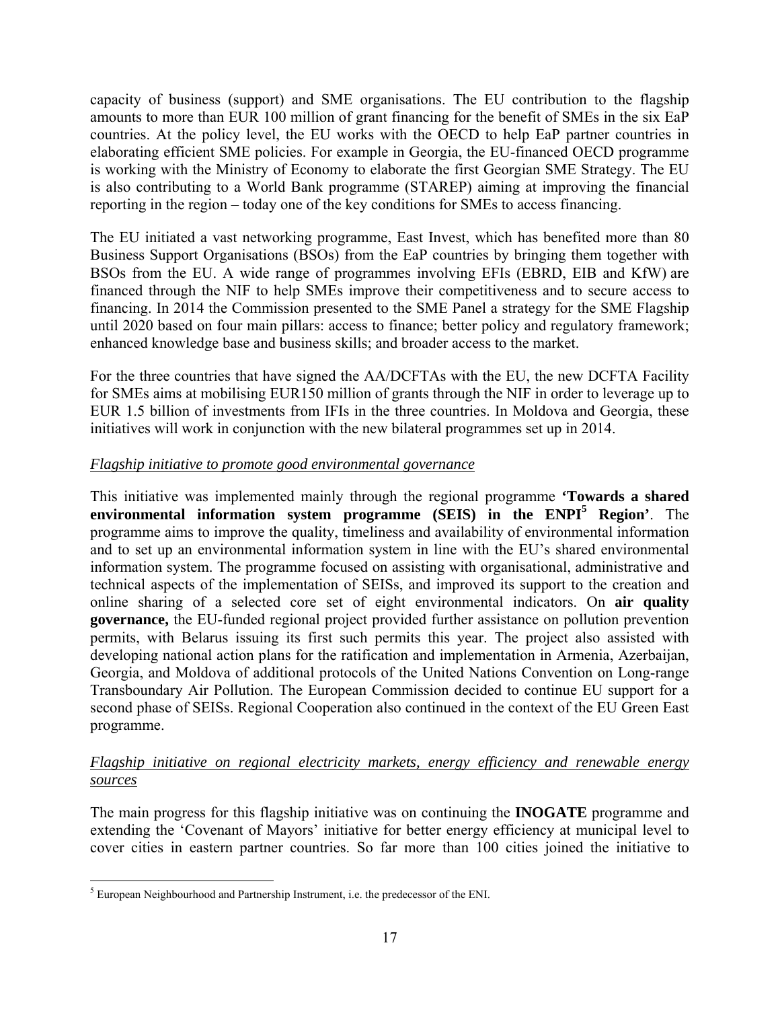capacity of business (support) and SME organisations. The EU contribution to the flagship amounts to more than EUR 100 million of grant financing for the benefit of SMEs in the six EaP countries. At the policy level, the EU works with the OECD to help EaP partner countries in elaborating efficient SME policies. For example in Georgia, the EU-financed OECD programme is working with the Ministry of Economy to elaborate the first Georgian SME Strategy. The EU is also contributing to a World Bank programme (STAREP) aiming at improving the financial reporting in the region – today one of the key conditions for SMEs to access financing.

The EU initiated a vast networking programme, East Invest, which has benefited more than 80 Business Support Organisations (BSOs) from the EaP countries by bringing them together with BSOs from the EU. A wide range of programmes involving EFIs (EBRD, EIB and KfW) are financed through the NIF to help SMEs improve their competitiveness and to secure access to financing. In 2014 the Commission presented to the SME Panel a strategy for the SME Flagship until 2020 based on four main pillars: access to finance; better policy and regulatory framework; enhanced knowledge base and business skills; and broader access to the market.

For the three countries that have signed the AA/DCFTAs with the EU, the new DCFTA Facility for SMEs aims at mobilising EUR150 million of grants through the NIF in order to leverage up to EUR 1.5 billion of investments from IFIs in the three countries. In Moldova and Georgia, these initiatives will work in conjunction with the new bilateral programmes set up in 2014.

## *Flagship initiative to promote good environmental governance*

This initiative was implemented mainly through the regional programme **'Towards a shared**  environmental information system programme (SEIS) in the ENPI<sup>5</sup> Region'. The programme aims to improve the quality, timeliness and availability of environmental information and to set up an environmental information system in line with the EU's shared environmental information system. The programme focused on assisting with organisational, administrative and technical aspects of the implementation of SEISs, and improved its support to the creation and online sharing of a selected core set of eight environmental indicators. On **air quality governance,** the EU-funded regional project provided further assistance on pollution prevention permits, with Belarus issuing its first such permits this year. The project also assisted with developing national action plans for the ratification and implementation in Armenia, Azerbaijan, Georgia, and Moldova of additional protocols of the United Nations Convention on Long-range Transboundary Air Pollution. The European Commission decided to continue EU support for a second phase of SEISs. Regional Cooperation also continued in the context of the EU Green East programme.

## *Flagship initiative on regional electricity markets, energy efficiency and renewable energy sources*

The main progress for this flagship initiative was on continuing the **INOGATE** programme and extending the 'Covenant of Mayors' initiative for better energy efficiency at municipal level to cover cities in eastern partner countries. So far more than 100 cities joined the initiative to

 5 European Neighbourhood and Partnership Instrument, i.e. the predecessor of the ENI.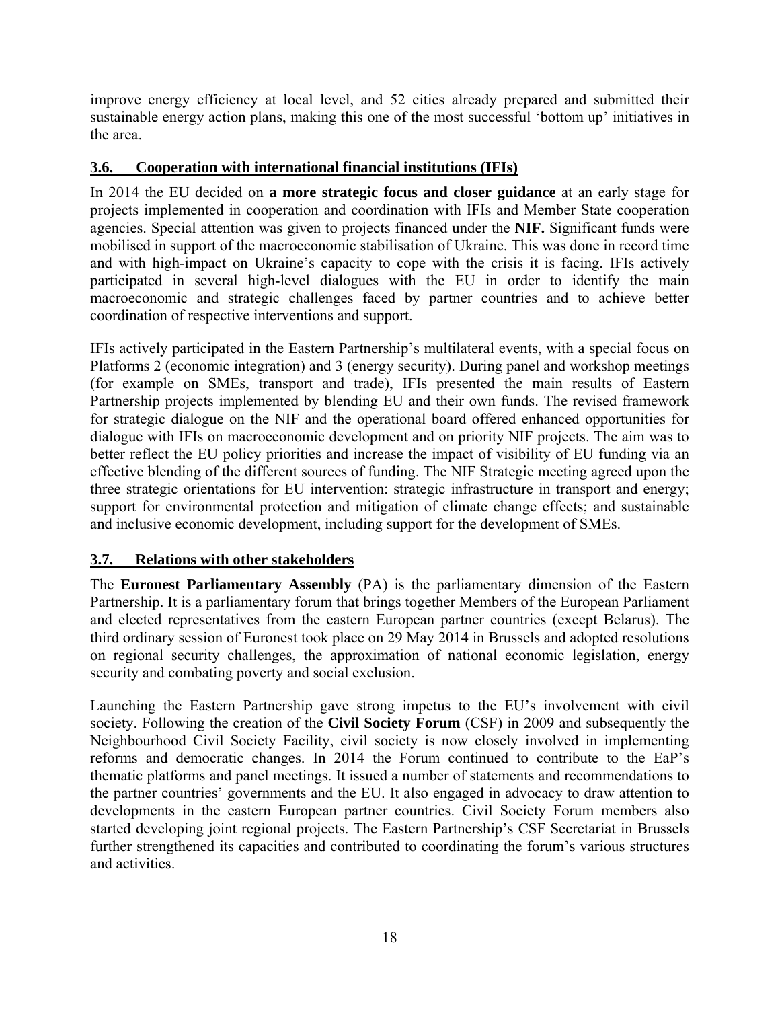improve energy efficiency at local level, and 52 cities already prepared and submitted their sustainable energy action plans, making this one of the most successful 'bottom up' initiatives in the area.

## **3.6. Cooperation with international financial institutions (IFIs)**

In 2014 the EU decided on **a more strategic focus and closer guidance** at an early stage for projects implemented in cooperation and coordination with IFIs and Member State cooperation agencies. Special attention was given to projects financed under the **NIF.** Significant funds were mobilised in support of the macroeconomic stabilisation of Ukraine. This was done in record time and with high-impact on Ukraine's capacity to cope with the crisis it is facing. IFIs actively participated in several high-level dialogues with the EU in order to identify the main macroeconomic and strategic challenges faced by partner countries and to achieve better coordination of respective interventions and support.

IFIs actively participated in the Eastern Partnership's multilateral events, with a special focus on Platforms 2 (economic integration) and 3 (energy security). During panel and workshop meetings (for example on SMEs, transport and trade), IFIs presented the main results of Eastern Partnership projects implemented by blending EU and their own funds. The revised framework for strategic dialogue on the NIF and the operational board offered enhanced opportunities for dialogue with IFIs on macroeconomic development and on priority NIF projects. The aim was to better reflect the EU policy priorities and increase the impact of visibility of EU funding via an effective blending of the different sources of funding. The NIF Strategic meeting agreed upon the three strategic orientations for EU intervention: strategic infrastructure in transport and energy; support for environmental protection and mitigation of climate change effects; and sustainable and inclusive economic development, including support for the development of SMEs.

## **3.7. Relations with other stakeholders**

The **Euronest Parliamentary Assembly** (PA) is the parliamentary dimension of the Eastern Partnership. It is a parliamentary forum that brings together Members of the European Parliament and elected representatives from the eastern European partner countries (except Belarus). The third ordinary session of Euronest took place on 29 May 2014 in Brussels and adopted resolutions on regional security challenges, the approximation of national economic legislation, energy security and combating poverty and social exclusion.

Launching the Eastern Partnership gave strong impetus to the EU's involvement with civil society. Following the creation of the **Civil Society Forum** (CSF) in 2009 and subsequently the Neighbourhood Civil Society Facility, civil society is now closely involved in implementing reforms and democratic changes. In 2014 the Forum continued to contribute to the EaP's thematic platforms and panel meetings. It issued a number of statements and recommendations to the partner countries' governments and the EU. It also engaged in advocacy to draw attention to developments in the eastern European partner countries. Civil Society Forum members also started developing joint regional projects. The Eastern Partnership's CSF Secretariat in Brussels further strengthened its capacities and contributed to coordinating the forum's various structures and activities.